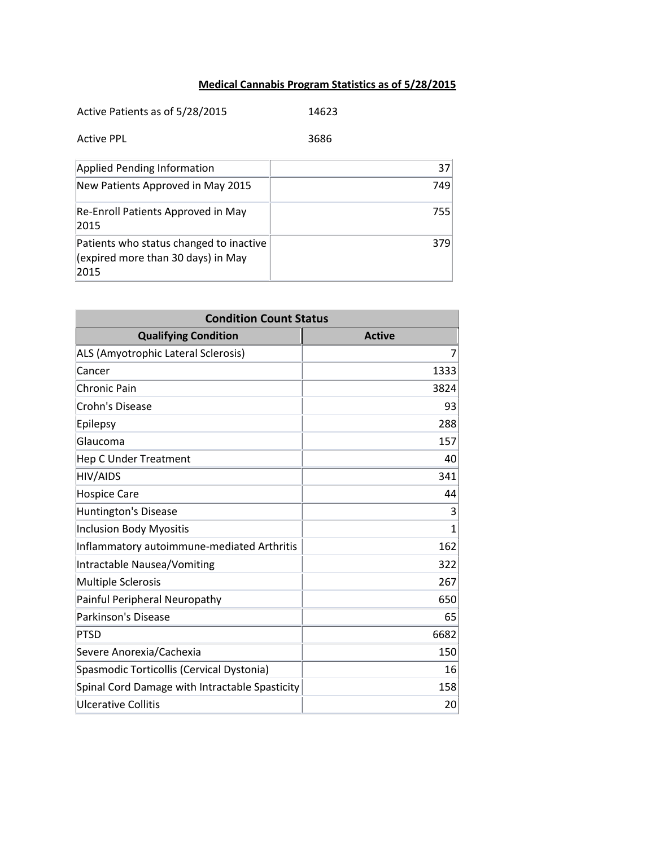## **Medical Cannabis Program Statistics as of 5/28/2015**

| Active Patients as of 5/28/2015                                                       | 14623           |
|---------------------------------------------------------------------------------------|-----------------|
| <b>Active PPL</b>                                                                     | 3686            |
| <b>Applied Pending Information</b>                                                    | 37 <sup>1</sup> |
| New Patients Approved in May 2015                                                     | 749             |
| Re-Enroll Patients Approved in May<br>2015                                            | 755             |
| Patients who status changed to inactive<br>(expired more than 30 days) in May<br>2015 | 379             |

| <b>Condition Count Status</b>                  |               |
|------------------------------------------------|---------------|
| <b>Qualifying Condition</b>                    | <b>Active</b> |
| ALS (Amyotrophic Lateral Sclerosis)            | 7             |
| Cancer                                         | 1333          |
| <b>Chronic Pain</b>                            | 3824          |
| Crohn's Disease                                | 93            |
| Epilepsy                                       | 288           |
| Glaucoma                                       | 157           |
| <b>Hep C Under Treatment</b>                   | 40            |
| HIV/AIDS                                       | 341           |
| <b>Hospice Care</b>                            | 44            |
| <b>Huntington's Disease</b>                    | 3             |
| <b>Inclusion Body Myositis</b>                 | 1             |
| Inflammatory autoimmune-mediated Arthritis     | 162           |
| Intractable Nausea/Vomiting                    | 322           |
| <b>Multiple Sclerosis</b>                      | 267           |
| Painful Peripheral Neuropathy                  | 650           |
| <b>Parkinson's Disease</b>                     | 65            |
| <b>PTSD</b>                                    | 6682          |
| Severe Anorexia/Cachexia                       | 150           |
| Spasmodic Torticollis (Cervical Dystonia)      | 16            |
| Spinal Cord Damage with Intractable Spasticity | 158           |
| <b>Ulcerative Collitis</b>                     | 20            |